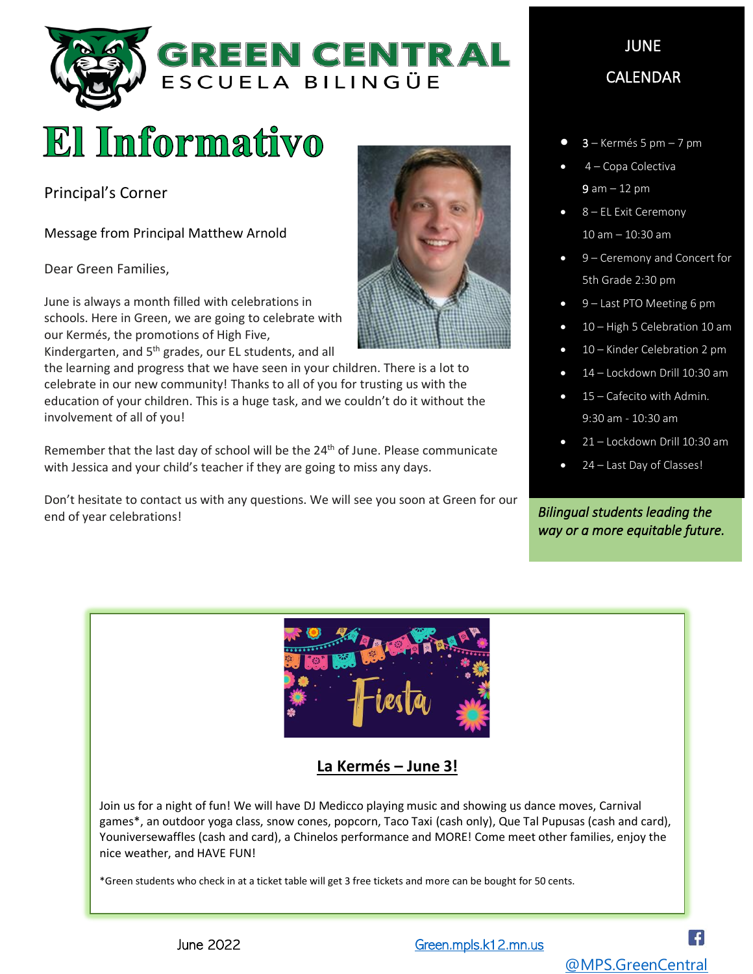

# El Informativo

Principal's Corner

Message from Principal Matthew Arnold

Dear Green Families,

June is always a month filled with celebrations in schools. Here in Green, we are going to celebrate with our Kermés, the promotions of High Five,

Kindergarten, and 5<sup>th</sup> grades, our EL students, and all the learning and progress that we have seen in your children. There is a lot to celebrate in our new community! Thanks to all of you for trusting us with the education of your children. This is a huge task, and we couldn't do it without the involvement of all of you!

Remember that the last day of school will be the  $24<sup>th</sup>$  of June. Please communicate with Jessica and your child's teacher if they are going to miss any days.

Don't hesitate to contact us with any questions. We will see you soon at Green for our end of year celebrations!



# JUNE CALENDAR

- $3 -$  Kermés 5 pm  $-$  7 pm
- 4 Copa Colectiva 9 am – 12 pm
- 8 EL Exit Ceremony 10 am – 10:30 am
- 9 Ceremony and Concert for 5th Grade 2:30 pm
- 9 Last PTO Meeting 6 pm
- 10 High 5 Celebration 10 am
- 10 Kinder Celebration 2 pm
- 14 Lockdown Drill 10:30 am
- 15 Cafecito with Admin. 9:30 am - 10:30 am
- 21 Lockdown Drill 10:30 am
- 24 Last Day of Classes!

*Bilingual students leading the way or a more equitable future.* 



## **La Kermés – June 3!**

Join us for a night of fun! We will have DJ Medicco playing music and showing us dance moves, Carnival games\*, an outdoor yoga class, snow cones, popcorn, Taco Taxi (cash only), Que Tal Pupusas (cash and card), Youniversewaffles (cash and card), a Chinelos performance and MORE! Come meet other families, enjoy the nice weather, and HAVE FUN!

\*Green students who check in at a ticket table will get 3 free tickets and more can be bought for 50 cents.

June 2022 **Green.mpls.k12.mn.us**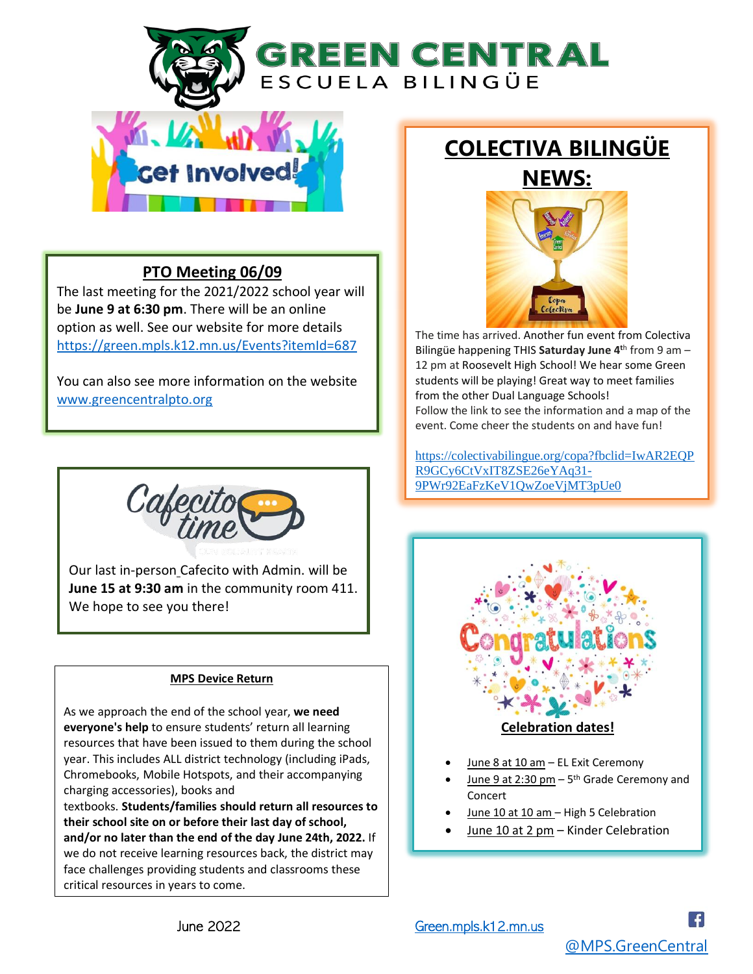GREEN CENTRAL ESCUELA BILINGÜE



### **PTO Meeting 06/09**

The last meeting for the 2021/2022 school year will be **June 9 at 6:30 pm**. There will be an online option as well. See our website for more details <https://green.mpls.k12.mn.us/Events?itemId=687>

You can also see more information on the website [www.greencentralpto.org](https://www.greencentralpto.org/)



Our last in-person Cafecito with Admin. will be **June 15 at 9:30 am** in the community room 411. We hope to see you there!

#### **MPS Device Return**

As we approach the end of the school year, **we need everyone's help** to ensure students' return all learning resources that have been issued to them during the school year. This includes ALL district technology (including iPads, Chromebooks, Mobile Hotspots, and their accompanying charging accessories), books and

textbooks. **Students/families should return all resources to their school site on or before their last day of school, and/or no later than the end of the day June 24th, 2022.** If we do not receive learning resources back, the district may face challenges providing students and classrooms these critical resources in years to come.

## **COLECTIVA BILINGÜE NEWS:**



The time has arrived. Another fun event from Colectiva Bilingüe happening THIS **Saturday June 4<sup>t</sup>**<sup>h</sup> from 9 am – 12 pm at Roosevelt High School! We hear some Green students will be playing! Great way to meet families from the other Dual Language Schools! Follow the link to see the information and a map of the event. Come cheer the students on and have fun!

[https://colectivabilingue.org/copa?fbclid=IwAR2EQP](https://colectivabilingue.org/copa?fbclid=IwAR2EQPR9GCy6CtVxIT8ZSE26eYAq31-9PWr92EaFzKeV1QwZoeVjMT3pUe0) [R9GCy6CtVxIT8ZSE26eYAq31-](https://colectivabilingue.org/copa?fbclid=IwAR2EQPR9GCy6CtVxIT8ZSE26eYAq31-9PWr92EaFzKeV1QwZoeVjMT3pUe0) [9PWr92EaFzKeV1QwZoeVjMT3pUe0](https://colectivabilingue.org/copa?fbclid=IwAR2EQPR9GCy6CtVxIT8ZSE26eYAq31-9PWr92EaFzKeV1QwZoeVjMT3pUe0)



- June 8 at 10 am EL Exit Ceremony
- $\bullet$  June 9 at 2:30 pm  $-5$ <sup>th</sup> Grade Ceremony and Concert
- June 10 at 10 am High 5 Celebration
- June 10 at 2 pm Kinder Celebration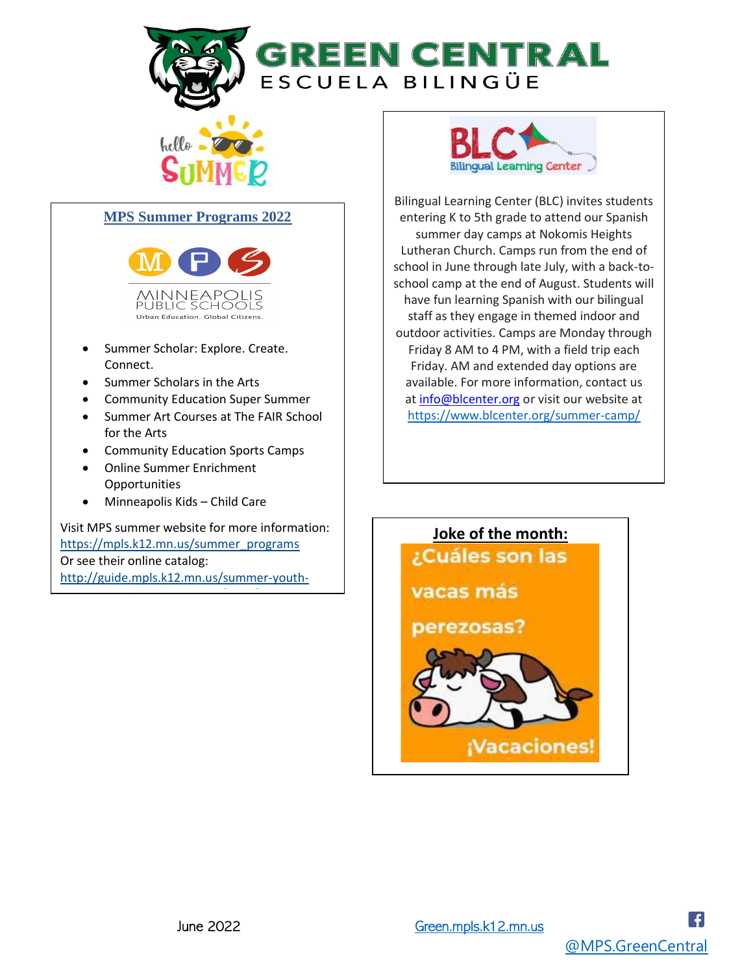



#### **MPS Summer Programs 2022**



- Summer Scholar: Explore. Create. Connect.
- Summer Scholars in the Arts
- Community Education Super Summer
- Summer Art Courses at The FAIR School for the Arts
- Community Education Sports Camps
- Online Summer Enrichment Opportunities
- Minneapolis Kids Child Care

[programming-brochure-2022/page/22-23](http://guide.mpls.k12.mn.us/summer-youth-programming-brochure-2022/page/22-23)

Visit MPS summer website for more information: [https://mpls.k12.mn.us/summer\\_programs](https://mpls.k12.mn.us/summer_programs) Or see their online catalog: [http://guide.mpls.k12.mn.us/summer-youth-](http://guide.mpls.k12.mn.us/summer-youth-programming-brochure-2022/page/22-23)



Bilingual Learning Center (BLC) invites students entering K to 5th grade to attend our Spanish summer day camps at Nokomis Heights Lutheran Church. Camps run from the end of school in June through late July, with a back-toschool camp at the end of August. Students will have fun learning Spanish with our bilingual staff as they engage in themed indoor and outdoor activities. Camps are Monday through Friday 8 AM to 4 PM, with a field trip each Friday. AM and extended day options are available. For more information, contact us at [info@blcenter.org](mailto:info@blcenter.org) or visit our website at [https://www.blcenter.org/summer-camp/](https://urldefense.com/v3/__https:/www.blcenter.org/summer-camp/__;!!MxD8lHs9xPYQ!PnOr1U4o-nzlhUHDmrohSSQffotrHyO_Zgn7zsj6AyO7bCJd3kTp_ZCsGtEft-BsT4DHg09jKtZHq23Ufow7GuD_$)